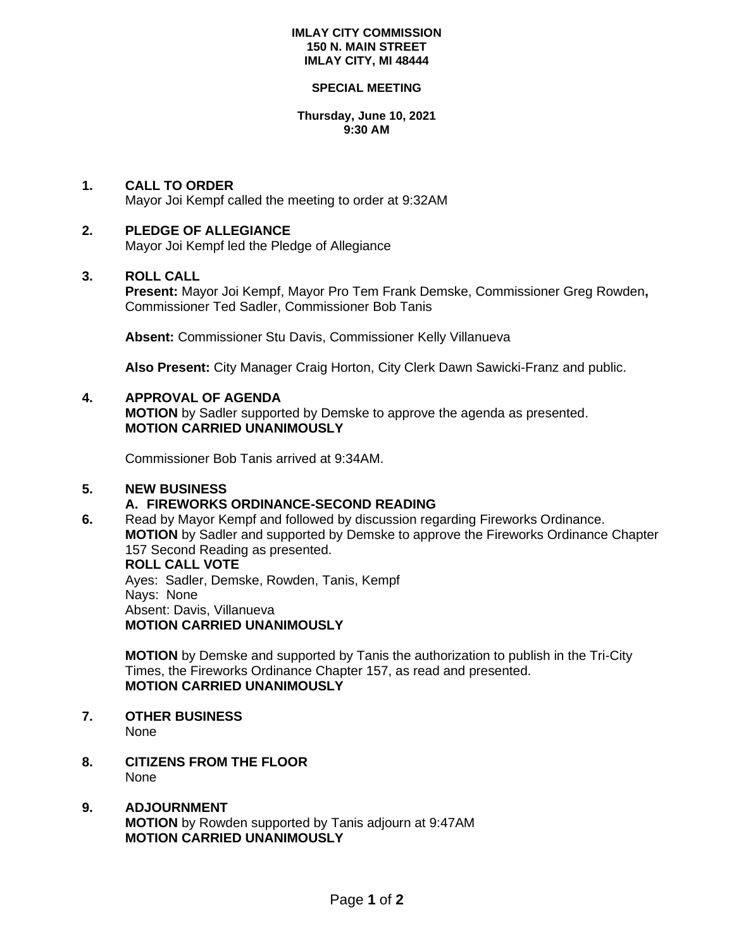#### **IMLAY CITY COMMISSION 150 N. MAIN STREET IMLAY CITY, MI 48444**

#### **SPECIAL MEETING**

#### **Thursday, June 10, 2021 9:30 AM**

# **1. CALL TO ORDER**

Mayor Joi Kempf called the meeting to order at 9:32AM

# **2. PLEDGE OF ALLEGIANCE**

Mayor Joi Kempf led the Pledge of Allegiance

## **3. ROLL CALL**

**Present:** Mayor Joi Kempf, Mayor Pro Tem Frank Demske, Commissioner Greg Rowden**,**  Commissioner Ted Sadler, Commissioner Bob Tanis

**Absent:** Commissioner Stu Davis, Commissioner Kelly Villanueva

**Also Present:** City Manager Craig Horton, City Clerk Dawn Sawicki-Franz and public.

## **4. APPROVAL OF AGENDA**

**MOTION** by Sadler supported by Demske to approve the agenda as presented. **MOTION CARRIED UNANIMOUSLY**

Commissioner Bob Tanis arrived at 9:34AM.

# **5. NEW BUSINESS**

## **A. FIREWORKS ORDINANCE-SECOND READING**

**6.** Read by Mayor Kempf and followed by discussion regarding Fireworks Ordinance. **MOTION** by Sadler and supported by Demske to approve the Fireworks Ordinance Chapter 157 Second Reading as presented. **ROLL CALL VOTE**

Ayes: Sadler, Demske, Rowden, Tanis, Kempf Nays: None Absent: Davis, Villanueva **MOTION CARRIED UNANIMOUSLY**

**MOTION** by Demske and supported by Tanis the authorization to publish in the Tri-City Times, the Fireworks Ordinance Chapter 157, as read and presented. **MOTION CARRIED UNANIMOUSLY**

**7. OTHER BUSINESS**  None

**8. CITIZENS FROM THE FLOOR** None

# **9. ADJOURNMENT MOTION** by Rowden supported by Tanis adjourn at 9:47AM **MOTION CARRIED UNANIMOUSLY**